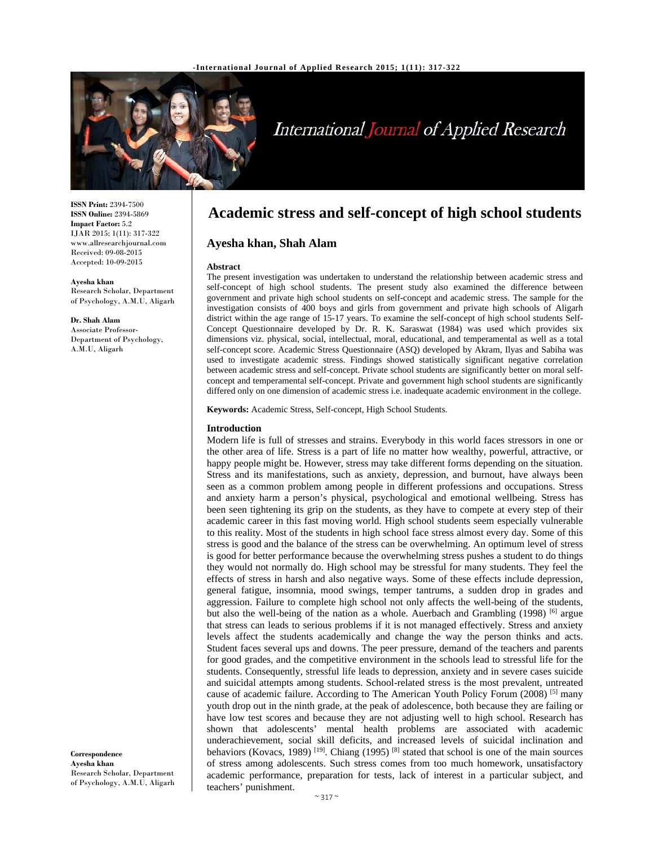

# International Journal of Applied Research

**ISSN Print:** 2394-7500 **ISSN Online:** 2394-5869 **Impact Factor:** 5.2 IJAR 2015; 1(11): 317-322 www.allresearchjournal.com Received: 09-08-2015 Accepted: 10-09-2015

**Ayesha khan**  Research Scholar, Department of Psychology, A.M.U, Aligarh

**Dr. Shah Alam**  Associate Professor-Department of Psychology, A.M.U, Aligarh

**Correspondence Ayesha khan**  Research Scholar, Department of Psychology, A.M.U, Aligarh

# **Academic stress and self-concept of high school students**

**Ayesha khan, Shah Alam** 

#### **Abstract**

The present investigation was undertaken to understand the relationship between academic stress and self-concept of high school students. The present study also examined the difference between government and private high school students on self-concept and academic stress. The sample for the investigation consists of 400 boys and girls from government and private high schools of Aligarh district within the age range of 15-17 years. To examine the self-concept of high school students Self-Concept Questionnaire developed by Dr. R. K. Saraswat (1984) was used which provides six dimensions viz. physical, social, intellectual, moral, educational, and temperamental as well as a total self-concept score. Academic Stress Questionnaire (ASQ) developed by Akram, Ilyas and Sabiha was used to investigate academic stress. Findings showed statistically significant negative correlation between academic stress and self-concept. Private school students are significantly better on moral selfconcept and temperamental self-concept. Private and government high school students are significantly differed only on one dimension of academic stress i.e. inadequate academic environment in the college.

**Keywords:** Academic Stress, Self-concept, High School Students.

#### **Introduction**

Modern life is full of stresses and strains. Everybody in this world faces stressors in one or the other area of life. Stress is a part of life no matter how wealthy, powerful, attractive, or happy people might be. However, stress may take different forms depending on the situation. Stress and its manifestations, such as anxiety, depression, and burnout, have always been seen as a common problem among people in different professions and occupations. Stress and anxiety harm a person's physical, psychological and emotional wellbeing. Stress has been seen tightening its grip on the students, as they have to compete at every step of their academic career in this fast moving world. High school students seem especially vulnerable to this reality. Most of the students in high school face stress almost every day. Some of this stress is good and the balance of the stress can be overwhelming. An optimum level of stress is good for better performance because the overwhelming stress pushes a student to do things they would not normally do. High school may be stressful for many students. They feel the effects of stress in harsh and also negative ways. Some of these effects include depression, general fatigue, insomnia, mood swings, temper tantrums, a sudden drop in grades and aggression. Failure to complete high school not only affects the well-being of the students, but also the well-being of the nation as a whole. Auerbach and Grambling  $(1998)$  <sup>[6]</sup> argue that stress can leads to serious problems if it is not managed effectively. Stress and anxiety levels affect the students academically and change the way the person thinks and acts. Student faces several ups and downs. The peer pressure, demand of the teachers and parents for good grades, and the competitive environment in the schools lead to stressful life for the students. Consequently, stressful life leads to depression, anxiety and in severe cases suicide and suicidal attempts among students. School-related stress is the most prevalent, untreated cause of academic failure. According to The American Youth Policy Forum (2008) <sup>[5]</sup> many youth drop out in the ninth grade, at the peak of adolescence, both because they are failing or have low test scores and because they are not adjusting well to high school. Research has shown that adolescents' mental health problems are associated with academic underachievement, social skill deficits, and increased levels of suicidal inclination and behaviors (Kovacs, 1989)  $[19]$ . Chiang (1995)  $[8]$  stated that school is one of the main sources of stress among adolescents. Such stress comes from too much homework, unsatisfactory academic performance, preparation for tests, lack of interest in a particular subject, and teachers' punishment.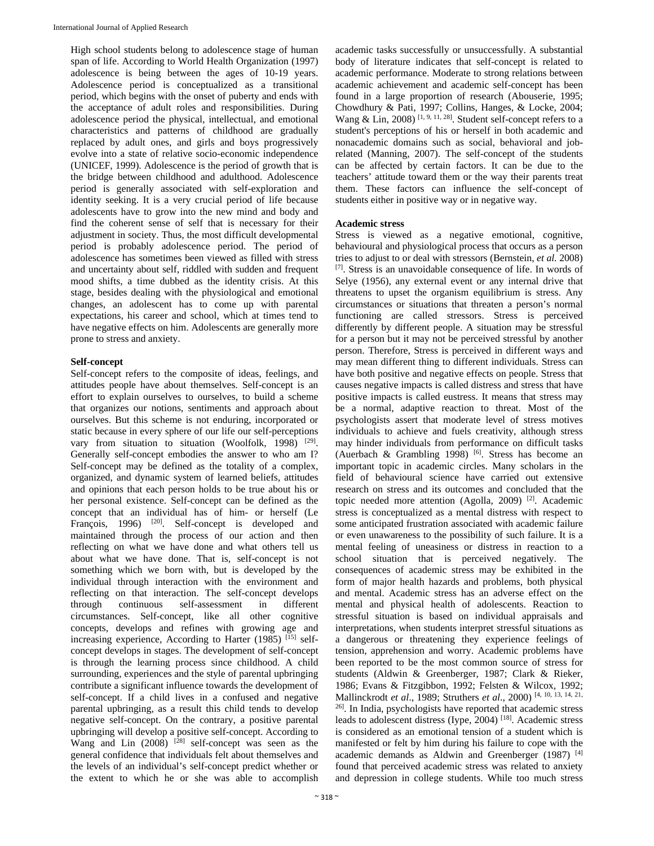High school students belong to adolescence stage of human span of life. According to World Health Organization (1997) adolescence is being between the ages of 10-19 years. Adolescence period is conceptualized as a transitional period, which begins with the onset of puberty and ends with the acceptance of adult roles and responsibilities. During adolescence period the physical, intellectual, and emotional characteristics and patterns of childhood are gradually replaced by adult ones, and girls and boys progressively evolve into a state of relative socio-economic independence (UNICEF, 1999). Adolescence is the period of growth that is the bridge between childhood and adulthood. Adolescence period is generally associated with self-exploration and identity seeking. It is a very crucial period of life because adolescents have to grow into the new mind and body and find the coherent sense of self that is necessary for their adjustment in society. Thus, the most difficult developmental period is probably adolescence period. The period of adolescence has sometimes been viewed as filled with stress and uncertainty about self, riddled with sudden and frequent mood shifts, a time dubbed as the identity crisis. At this stage, besides dealing with the physiological and emotional changes, an adolescent has to come up with parental expectations, his career and school, which at times tend to have negative effects on him. Adolescents are generally more prone to stress and anxiety.

# **Self-concept**

Self-concept refers to the composite of ideas, feelings, and attitudes people have about themselves. Self-concept is an effort to explain ourselves to ourselves, to build a scheme that organizes our notions, sentiments and approach about ourselves. But this scheme is not enduring, incorporated or static because in every sphere of our life our self-perceptions vary from situation to situation (Woolfolk, 1998) [29]. Generally self-concept embodies the answer to who am I? Self-concept may be defined as the totality of a complex, organized, and dynamic system of learned beliefs, attitudes and opinions that each person holds to be true about his or her personal existence. Self-concept can be defined as the concept that an individual has of him- or herself (Le François, 1996) <sup>[20]</sup>. Self-concept is developed and maintained through the process of our action and then reflecting on what we have done and what others tell us about what we have done. That is, self-concept is not something which we born with, but is developed by the individual through interaction with the environment and reflecting on that interaction. The self-concept develops through continuous self-assessment in different circumstances. Self-concept, like all other cognitive concepts, develops and refines with growing age and increasing experience, According to Harter (1985) [15] selfconcept develops in stages. The development of self-concept is through the learning process since childhood. A child surrounding, experiences and the style of parental upbringing contribute a significant influence towards the development of self-concept. If a child lives in a confused and negative parental upbringing, as a result this child tends to develop negative self-concept. On the contrary, a positive parental upbringing will develop a positive self-concept. According to Wang and Lin  $(2008)$  <sup>[28]</sup> self-concept was seen as the general confidence that individuals felt about themselves and the levels of an individual's self-concept predict whether or the extent to which he or she was able to accomplish

academic tasks successfully or unsuccessfully. A substantial body of literature indicates that self-concept is related to academic performance. Moderate to strong relations between academic achievement and academic self-concept has been found in a large proportion of research (Abouserie, 1995; Chowdhury & Pati, 1997; Collins, Hanges, & Locke, 2004; Wang & Lin, 2008)<sup>[1, 9, 11, 28]</sup>. Student self-concept refers to a student's perceptions of his or herself in both academic and nonacademic domains such as social, behavioral and jobrelated (Manning, 2007). The self-concept of the students can be affected by certain factors. It can be due to the teachers' attitude toward them or the way their parents treat them. These factors can influence the self-concept of students either in positive way or in negative way.

# **Academic stress**

Stress is viewed as a negative emotional, cognitive, behavioural and physiological process that occurs as a person tries to adjust to or deal with stressors (Bernstein, *et al.* 2008) [7]. Stress is an unavoidable consequence of life. In words of Selye (1956), any external event or any internal drive that threatens to upset the organism equilibrium is stress. Any circumstances or situations that threaten a person's normal functioning are called stressors. Stress is perceived differently by different people. A situation may be stressful for a person but it may not be perceived stressful by another person. Therefore, Stress is perceived in different ways and may mean different thing to different individuals. Stress can have both positive and negative effects on people. Stress that causes negative impacts is called distress and stress that have positive impacts is called eustress. It means that stress may be a normal, adaptive reaction to threat. Most of the psychologists assert that moderate level of stress motives individuals to achieve and fuels creativity, although stress may hinder individuals from performance on difficult tasks (Auerbach & Grambling 1998)  $[6]$ . Stress has become an important topic in academic circles. Many scholars in the field of behavioural science have carried out extensive research on stress and its outcomes and concluded that the topic needed more attention (Agolla, 2009)  $[2]$ . Academic stress is conceptualized as a mental distress with respect to some anticipated frustration associated with academic failure or even unawareness to the possibility of such failure. It is a mental feeling of uneasiness or distress in reaction to a school situation that is perceived negatively. The consequences of academic stress may be exhibited in the form of major health hazards and problems, both physical and mental. Academic stress has an adverse effect on the mental and physical health of adolescents. Reaction to stressful situation is based on individual appraisals and interpretations, when students interpret stressful situations as a dangerous or threatening they experience feelings of tension, apprehension and worry. Academic problems have been reported to be the most common source of stress for students (Aldwin & Greenberger, 1987; Clark & Rieker, 1986; Evans & Fitzgibbon, 1992; Felsten & Wilcox, 1992; Mallinckrodt *et al*., 1989; Struthers *et al*., 2000) [4, 10, 13, 14, 21, 26]. In India, psychologists have reported that academic stress leads to adolescent distress (Iype, 2004) [18]. Academic stress is considered as an emotional tension of a student which is manifested or felt by him during his failure to cope with the academic demands as Aldwin and Greenberger (1987)<sup>[4]</sup> found that perceived academic stress was related to anxiety and depression in college students. While too much stress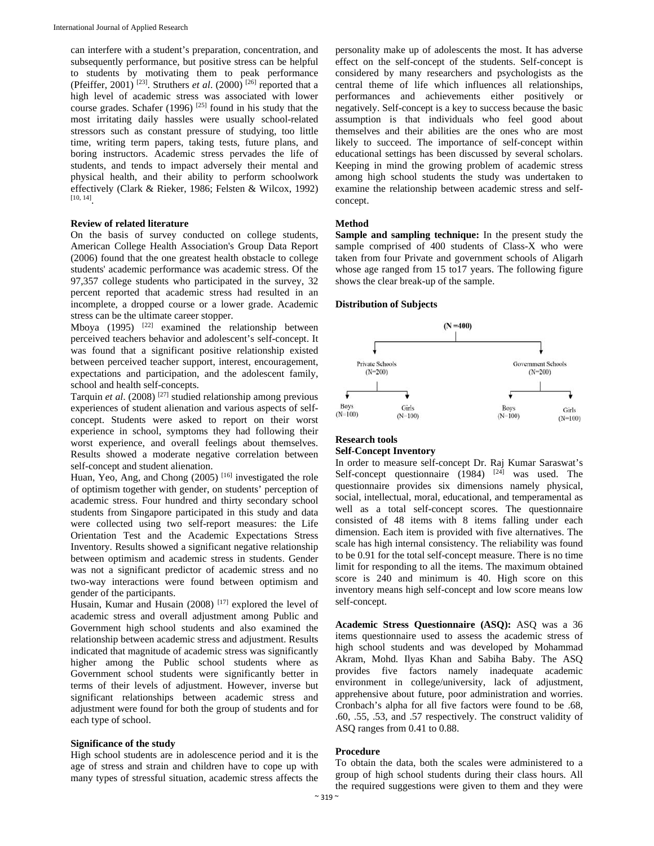can interfere with a student's preparation, concentration, and subsequently performance, but positive stress can be helpful to students by motivating them to peak performance (Pfeiffer, 2001)<sup>[23]</sup>. Struthers *et al.* (2000)<sup>[26]</sup> reported that a high level of academic stress was associated with lower course grades. Schafer (1996) [25] found in his study that the most irritating daily hassles were usually school-related stressors such as constant pressure of studying, too little time, writing term papers, taking tests, future plans, and boring instructors. Academic stress pervades the life of students, and tends to impact adversely their mental and physical health, and their ability to perform schoolwork effectively (Clark & Rieker, 1986; Felsten & Wilcox, 1992) [10, 14].

#### **Review of related literature**

On the basis of survey conducted on college students, American College Health Association's Group Data Report (2006) found that the one greatest health obstacle to college students' academic performance was academic stress. Of the 97,357 college students who participated in the survey, 32 percent reported that academic stress had resulted in an incomplete, a dropped course or a lower grade. Academic stress can be the ultimate career stopper.

Mboya (1995)  $[22]$  examined the relationship between perceived teachers behavior and adolescent's self-concept. It was found that a significant positive relationship existed between perceived teacher support, interest, encouragement, expectations and participation, and the adolescent family, school and health self-concepts.

Tarquin *et al*. (2008) [27] studied relationship among previous experiences of student alienation and various aspects of selfconcept. Students were asked to report on their worst experience in school, symptoms they had following their worst experience, and overall feelings about themselves. Results showed a moderate negative correlation between self-concept and student alienation.

Huan, Yeo, Ang, and Chong (2005)<sup>[16]</sup> investigated the role of optimism together with gender, on students' perception of academic stress. Four hundred and thirty secondary school students from Singapore participated in this study and data were collected using two self-report measures: the Life Orientation Test and the Academic Expectations Stress Inventory. Results showed a significant negative relationship between optimism and academic stress in students. Gender was not a significant predictor of academic stress and no two-way interactions were found between optimism and gender of the participants.

Husain, Kumar and Husain (2008)<sup>[17]</sup> explored the level of academic stress and overall adjustment among Public and Government high school students and also examined the relationship between academic stress and adjustment. Results indicated that magnitude of academic stress was significantly higher among the Public school students where as Government school students were significantly better in terms of their levels of adjustment. However, inverse but significant relationships between academic stress and adjustment were found for both the group of students and for each type of school.

#### **Significance of the study**

High school students are in adolescence period and it is the age of stress and strain and children have to cope up with many types of stressful situation, academic stress affects the personality make up of adolescents the most. It has adverse effect on the self-concept of the students. Self-concept is considered by many researchers and psychologists as the central theme of life which influences all relationships, performances and achievements either positively or negatively. Self-concept is a key to success because the basic assumption is that individuals who feel good about themselves and their abilities are the ones who are most likely to succeed. The importance of self-concept within educational settings has been discussed by several scholars. Keeping in mind the growing problem of academic stress among high school students the study was undertaken to examine the relationship between academic stress and selfconcept.

# **Method**

**Sample and sampling technique:** In the present study the sample comprised of 400 students of Class-X who were taken from four Private and government schools of Aligarh whose age ranged from 15 to17 years. The following figure shows the clear break-up of the sample.

#### **Distribution of Subjects**



# **Research tools Self-Concept Inventory**

In order to measure self-concept Dr. Raj Kumar Saraswat's Self-concept questionnaire  $(1984)$  <sup>[24]</sup> was used. The questionnaire provides six dimensions namely physical, social, intellectual, moral, educational, and temperamental as well as a total self-concept scores. The questionnaire consisted of 48 items with 8 items falling under each dimension. Each item is provided with five alternatives. The scale has high internal consistency. The reliability was found to be 0.91 for the total self-concept measure. There is no time limit for responding to all the items. The maximum obtained score is 240 and minimum is 40. High score on this inventory means high self-concept and low score means low self-concept.

**Academic Stress Questionnaire (ASQ):** ASQ was a 36 items questionnaire used to assess the academic stress of high school students and was developed by Mohammad Akram, Mohd. Ilyas Khan and Sabiha Baby. The ASQ provides five factors namely inadequate academic environment in college/university, lack of adjustment, apprehensive about future, poor administration and worries. Cronbach's alpha for all five factors were found to be .68, .60, .55, .53, and .57 respectively. The construct validity of ASQ ranges from 0.41 to 0.88.

# **Procedure**

To obtain the data, both the scales were administered to a group of high school students during their class hours. All the required suggestions were given to them and they were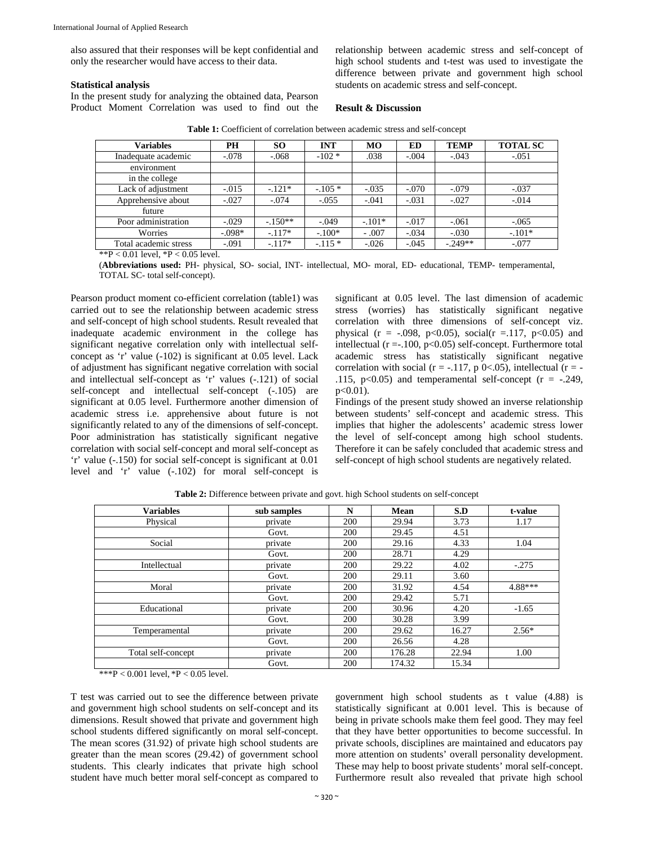also assured that their responses will be kept confidential and only the researcher would have access to their data.

# **Statistical analysis**

In the present study for analyzing the obtained data, Pearson Product Moment Correlation was used to find out the relationship between academic stress and self-concept of high school students and t-test was used to investigate the difference between private and government high school students on academic stress and self-concept.

#### **Result & Discussion**

| <b>Variables</b>      | <b>PH</b> | <b>SO</b> | <b>INT</b> | MО       | <b>ED</b> | <b>TEMP</b> | <b>TOTAL SC</b> |
|-----------------------|-----------|-----------|------------|----------|-----------|-------------|-----------------|
| Inadequate academic   | $-.078$   | $-.068$   | $-102 *$   | .038     | $-.004$   | $-.043$     | $-.051$         |
| environment           |           |           |            |          |           |             |                 |
| in the college        |           |           |            |          |           |             |                 |
| Lack of adjustment    | $-.015$   | $-.121*$  | $-.105*$   | $-.035$  | $-.070$   | $-.079$     | $-.037$         |
| Apprehensive about    | $-.027$   | $-.074$   | $-.055$    | $-.041$  | $-.031$   | $-.027$     | $-.014$         |
| future                |           |           |            |          |           |             |                 |
| Poor administration   | $-.029$   | $-.150**$ | $-.049$    | $-.101*$ | $-.017$   | $-.061$     | $-.065$         |
| Worries               | $-.098*$  | $-.117*$  | $-.100*$   | $-.007$  | $-.034$   | $-.030$     | $-.101*$        |
| Total academic stress | $-.091$   | $-117*$   | $-.115*$   | $-.026$  | $-.045$   | $-.249**$   | $-.077$         |
|                       |           |           |            |          |           |             |                 |

**Table 1:** Coefficient of correlation between academic stress and self-concept

 $*P < 0.01$  level,  $*P < 0.05$  level.

(**Abbreviations used:** PH- physical, SO- social, INT- intellectual, MO- moral, ED- educational, TEMP- temperamental, TOTAL SC- total self-concept).

Pearson product moment co-efficient correlation (table1) was carried out to see the relationship between academic stress and self-concept of high school students. Result revealed that inadequate academic environment in the college has significant negative correlation only with intellectual selfconcept as 'r' value (-102) is significant at 0.05 level. Lack of adjustment has significant negative correlation with social and intellectual self-concept as 'r' values (-.121) of social self-concept and intellectual self-concept  $(-.105)$  are significant at 0.05 level. Furthermore another dimension of academic stress i.e. apprehensive about future is not significantly related to any of the dimensions of self-concept. Poor administration has statistically significant negative correlation with social self-concept and moral self-concept as 'r' value (-.150) for social self-concept is significant at 0.01 level and 'r' value (-.102) for moral self-concept is

significant at 0.05 level. The last dimension of academic stress (worries) has statistically significant negative correlation with three dimensions of self-concept viz. physical ( $r = -.098$ ,  $p < 0.05$ ), social( $r = .117$ ,  $p < 0.05$ ) and intellectual  $(r = .100, p < 0.05)$  self-concept. Furthermore total academic stress has statistically significant negative correlation with social ( $r = -.117$ , p 0<.05), intellectual ( $r = -$ .115,  $p<0.05$ ) and temperamental self-concept ( $r = -.249$ ,  $p<0.01$ ).

Findings of the present study showed an inverse relationship between students' self-concept and academic stress. This implies that higher the adolescents' academic stress lower the level of self-concept among high school students. Therefore it can be safely concluded that academic stress and self-concept of high school students are negatively related.

| <b>Variables</b>   | sub samples | N          | <b>Mean</b> | S.D   | t-value |
|--------------------|-------------|------------|-------------|-------|---------|
| Physical           | private     | 200        | 29.94       | 3.73  | 1.17    |
|                    | Govt.       | 200        | 29.45       | 4.51  |         |
| Social             | private     | 200        | 29.16       | 4.33  | 1.04    |
|                    | Govt.       | <b>200</b> | 28.71       | 4.29  |         |
| Intellectual       | private     | 200        | 29.22       | 4.02  | $-.275$ |
|                    | Govt.       | 200        | 29.11       | 3.60  |         |
| Moral              | private     | 200        | 31.92       | 4.54  | 4.88*** |
|                    | Govt.       | 200        | 29.42       | 5.71  |         |
| Educational        | private     | 200        | 30.96       | 4.20  | $-1.65$ |
|                    | Govt.       | 200        | 30.28       | 3.99  |         |
| Temperamental      | private     | 200        | 29.62       | 16.27 | $2.56*$ |
|                    | Govt.       | 200        | 26.56       | 4.28  |         |
| Total self-concept | private     | 200        | 176.28      | 22.94 | 1.00    |
|                    | Govt.       | 200        | 174.32      | 15.34 |         |

**Table 2:** Difference between private and govt. high School students on self-concept

\*\*\*P < 0.001 level,  $*P$  < 0.05 level.

T test was carried out to see the difference between private and government high school students on self-concept and its dimensions. Result showed that private and government high school students differed significantly on moral self-concept. The mean scores (31.92) of private high school students are greater than the mean scores (29.42) of government school students. This clearly indicates that private high school student have much better moral self-concept as compared to government high school students as t value (4.88) is statistically significant at 0.001 level. This is because of being in private schools make them feel good. They may feel that they have better opportunities to become successful. In private schools, disciplines are maintained and educators pay more attention on students' overall personality development. These may help to boost private students' moral self-concept. Furthermore result also revealed that private high school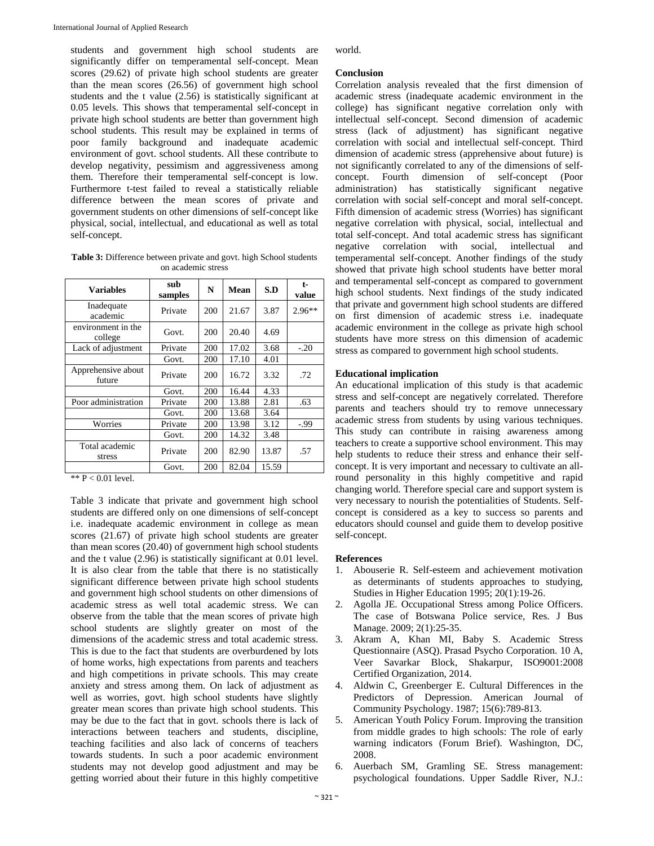students and government high school students are significantly differ on temperamental self-concept. Mean scores (29.62) of private high school students are greater than the mean scores (26.56) of government high school students and the t value (2.56) is statistically significant at 0.05 levels. This shows that temperamental self-concept in private high school students are better than government high school students. This result may be explained in terms of poor family background and inadequate academic environment of govt. school students. All these contribute to develop negativity, pessimism and aggressiveness among them. Therefore their temperamental self-concept is low. Furthermore t-test failed to reveal a statistically reliable difference between the mean scores of private and government students on other dimensions of self-concept like physical, social, intellectual, and educational as well as total self-concept.

**Table 3:** Difference between private and govt. high School students on academic stress

| <b>Variables</b>              | sub<br>samples | N   | Mean  | S.D   | t-<br>value |
|-------------------------------|----------------|-----|-------|-------|-------------|
| Inadequate<br>academic        | Private        | 200 | 21.67 | 3.87  | 2.96**      |
| environment in the<br>college | Govt.          | 200 | 20.40 | 4.69  |             |
| Lack of adjustment            | Private        | 200 | 17.02 | 3.68  | $-.20$      |
|                               | Govt.          | 200 | 17.10 | 4.01  |             |
| Apprehensive about<br>future  | Private        | 200 | 16.72 | 3.32  | .72         |
|                               | Govt.          | 200 | 16.44 | 4.33  |             |
| Poor administration           | Private        | 200 | 13.88 | 2.81  | .63         |
|                               | Govt.          | 200 | 13.68 | 3.64  |             |
| Worries                       | Private        | 200 | 13.98 | 3.12  | $-.99$      |
|                               | Govt.          | 200 | 14.32 | 3.48  |             |
| Total academic<br>stress      | Private        | 200 | 82.90 | 13.87 | .57         |
|                               | Govt.          | 200 | 82.04 | 15.59 |             |

\*\* P < 0.01 level.

Table 3 indicate that private and government high school students are differed only on one dimensions of self-concept i.e. inadequate academic environment in college as mean scores (21.67) of private high school students are greater than mean scores (20.40) of government high school students and the t value (2.96) is statistically significant at 0.01 level. It is also clear from the table that there is no statistically significant difference between private high school students and government high school students on other dimensions of academic stress as well total academic stress. We can observe from the table that the mean scores of private high school students are slightly greater on most of the dimensions of the academic stress and total academic stress. This is due to the fact that students are overburdened by lots of home works, high expectations from parents and teachers and high competitions in private schools. This may create anxiety and stress among them. On lack of adjustment as well as worries, govt. high school students have slightly greater mean scores than private high school students. This may be due to the fact that in govt. schools there is lack of interactions between teachers and students, discipline, teaching facilities and also lack of concerns of teachers towards students. In such a poor academic environment students may not develop good adjustment and may be getting worried about their future in this highly competitive

world.

# **Conclusion**

Correlation analysis revealed that the first dimension of academic stress (inadequate academic environment in the college) has significant negative correlation only with intellectual self-concept. Second dimension of academic stress (lack of adjustment) has significant negative correlation with social and intellectual self-concept. Third dimension of academic stress (apprehensive about future) is not significantly correlated to any of the dimensions of selfconcept. Fourth dimension of self-concept (Poor administration) has statistically significant negative correlation with social self-concept and moral self-concept. Fifth dimension of academic stress (Worries) has significant negative correlation with physical, social, intellectual and total self-concept. And total academic stress has significant negative correlation with social, intellectual and temperamental self-concept. Another findings of the study showed that private high school students have better moral and temperamental self-concept as compared to government high school students. Next findings of the study indicated that private and government high school students are differed on first dimension of academic stress i.e. inadequate academic environment in the college as private high school students have more stress on this dimension of academic stress as compared to government high school students.

# **Educational implication**

An educational implication of this study is that academic stress and self-concept are negatively correlated. Therefore parents and teachers should try to remove unnecessary academic stress from students by using various techniques. This study can contribute in raising awareness among teachers to create a supportive school environment. This may help students to reduce their stress and enhance their selfconcept. It is very important and necessary to cultivate an allround personality in this highly competitive and rapid changing world. Therefore special care and support system is very necessary to nourish the potentialities of Students. Selfconcept is considered as a key to success so parents and educators should counsel and guide them to develop positive self-concept.

# **References**

- 1. Abouserie R. Self-esteem and achievement motivation as determinants of students approaches to studying, Studies in Higher Education 1995; 20(1):19-26.
- 2. Agolla JE. Occupational Stress among Police Officers. The case of Botswana Police service, Res. J Bus Manage. 2009; 2(1):25-35.
- 3. Akram A, Khan MI, Baby S. Academic Stress Questionnaire (ASQ). Prasad Psycho Corporation. 10 A, Veer Savarkar Block, Shakarpur, ISO9001:2008 Certified Organization, 2014.
- 4. Aldwin C, Greenberger E. Cultural Differences in the Predictors of Depression. American Journal of Community Psychology. 1987; 15(6):789-813.
- 5. American Youth Policy Forum. Improving the transition from middle grades to high schools: The role of early warning indicators (Forum Brief). Washington, DC, 2008.
- 6. Auerbach SM, Gramling SE. Stress management: psychological foundations. Upper Saddle River, N.J.: